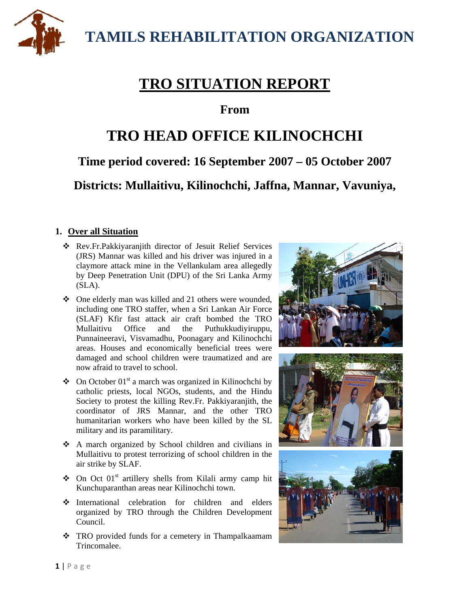# **TRO SITUATION REPORT**

# **From**

# **TRO HEAD OFFICE KILINOCHCHI**

# **Time period covered: 16 September 2007 – 05 October 2007**

# **Districts: Mullaitivu, Kilinochchi, Jaffna, Mannar, Vavuniya,**

# **1. Over all Situation**

- Rev.Fr.Pakkiyaranjith director of Jesuit Relief Services (JRS) Mannar was killed and his driver was injured in a claymore attack mine in the Vellankulam area allegedly by Deep Penetration Unit (DPU) of the Sri Lanka Army  $(SLA)$ .
- One elderly man was killed and 21 others were wounded, including one TRO staffer, when a Sri Lankan Air Force (SLAF) Kfir fast attack air craft bombed the TRO Mullaitivu Office and the Puthukkudiyiruppu, Punnaineeravi, Visvamadhu, Poonagary and Kilinochchi areas. Houses and economically beneficial trees were damaged and school children were traumatized and are now afraid to travel to school.
- $\triangle$  On October 01<sup>st</sup> a march was organized in Kilinochchi by catholic priests, local NGOs, students, and the Hindu Society to protest the killing Rev.Fr. Pakkiyaranjith, the coordinator of JRS Mannar, and the other TRO humanitarian workers who have been killed by the SL military and its paramilitary.
- A march organized by School children and civilians in Mullaitivu to protest terrorizing of school children in the air strike by SLAF.
- $\triangle$  On Oct 01<sup>st</sup> artillery shells from Kilali army camp hit Kunchuparanthan areas near Kilinochchi town.
- International celebration for children and elders organized by TRO through the Children Development Council.
- \* TRO provided funds for a cemetery in Thampalkaamam Trincomalee.

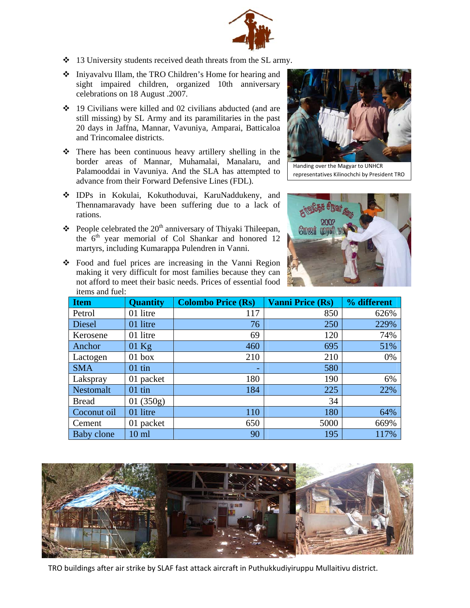

- 13 University students received death threats from the SL army.
- Iniyavalvu Illam, the TRO Children's Home for hearing and sight impaired children, organized 10th anniversary celebrations on 18 August .2007.
- 19 Civilians were killed and 02 civilians abducted (and are still missing) by SL Army and its paramilitaries in the past 20 days in Jaffna, Mannar, Vavuniya, Amparai, Batticaloa and Trincomalee districts.
- There has been continuous heavy artillery shelling in the border areas of Mannar, Muhamalai, Manalaru, and Palamooddai in Vavuniya. And the SLA has attempted to advance from their Forward Defensive Lines (FDL).
- IDPs in Kokulai, Kokuthoduvai, KaruNaddukeny, and Thennamaravady have been suffering due to a lack of rations.
- $\triangle$  People celebrated the 20<sup>th</sup> anniversary of Thiyaki Thileepan, the  $6<sup>th</sup>$  year memorial of Col Shankar and honored 12 martyrs, including Kumarappa Pulendren in Vanni.
- ◆ Food and fuel prices are increasing in the Vanni Region making it very difficult for most families because they can not afford to meet their basic needs. Prices of essential food items and fuel:



representatives Kilinochchi by President TRO



| <b>Item</b>  | <b>Quantity</b> | <b>Colombo Price (Rs)</b> | <b>Vanni Price (Rs)</b> | % different |
|--------------|-----------------|---------------------------|-------------------------|-------------|
| Petrol       | 01 litre        | 117                       | 850                     | 626%        |
| Diesel       | 01 litre        | 76                        | 250                     | 229%        |
| Kerosene     | 01 litre        | 69                        | 120                     | 74%         |
| Anchor       | $01$ Kg         | 460                       | 695                     | 51%         |
| Lactogen     | $01$ box        | 210                       | 210                     | 0%          |
| <b>SMA</b>   | $01$ tin        | $\overline{\phantom{0}}$  | 580                     |             |
| Lakspray     | 01 packet       | 180                       | 190                     | 6%          |
| Nestomalt    | $01$ tin        | 184                       | 225                     | 22%         |
| <b>Bread</b> | 01(350g)        |                           | 34                      |             |
| Coconut oil  | 01 litre        | 110                       | 180                     | 64%         |
| Cement       | 01 packet       | 650                       | 5000                    | 669%        |
| Baby clone   | $10 \text{ ml}$ | 90                        | 195                     | 117%        |



TRO buildings after air strike by SLAF fast attack aircraft in Puthukkudiyiruppu Mullaitivu district.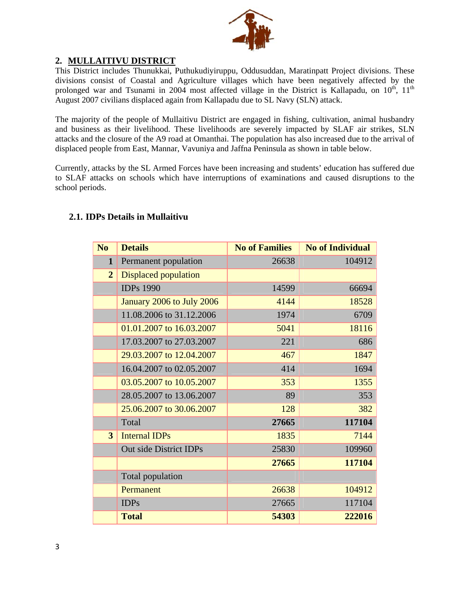

# **2. MULLAITIVU DISTRICT**

This District includes Thunukkai, Puthukudiyiruppu, Oddusuddan, Maratinpatt Project divisions. These divisions consist of Coastal and Agriculture villages which have been negatively affected by the prolonged war and Tsunami in 2004 most affected village in the District is Kallapadu, on  $10^{th}$ ,  $11^{th}$ August 2007 civilians displaced again from Kallapadu due to SL Navy (SLN) attack.

The majority of the people of Mullaitivu District are engaged in fishing, cultivation, animal husbandry and business as their livelihood. These livelihoods are severely impacted by SLAF air strikes, SLN attacks and the closure of the A9 road at Omanthai. The population has also increased due to the arrival of displaced people from East, Mannar, Vavuniya and Jaffna Peninsula as shown in table below.

Currently, attacks by the SL Armed Forces have been increasing and students' education has suffered due to SLAF attacks on schools which have interruptions of examinations and caused disruptions to the school periods.

| N <sub>o</sub> | <b>Details</b>            | <b>No of Families</b> | <b>No of Individual</b> |
|----------------|---------------------------|-----------------------|-------------------------|
| $\mathbf{1}$   | Permanent population      | 26638                 | 104912                  |
| $\overline{2}$ | Displaced population      |                       |                         |
|                | <b>IDPs 1990</b>          | 14599                 | 66694                   |
|                | January 2006 to July 2006 | 4144                  | 18528                   |
|                | 11.08.2006 to 31.12.2006  | 1974                  | 6709                    |
|                | 01.01.2007 to 16.03.2007  | 5041                  | 18116                   |
|                | 17.03.2007 to 27.03.2007  | 221                   | 686                     |
|                | 29.03.2007 to 12.04.2007  | 467                   | 1847                    |
|                | 16.04.2007 to 02.05.2007  | 414                   | 1694                    |
|                | 03.05.2007 to 10.05.2007  | 353                   | 1355                    |
|                | 28.05.2007 to 13.06.2007  | 89                    | 353                     |
|                | 25.06.2007 to 30.06.2007  | 128                   | 382                     |
|                | Total                     | 27665                 | 117104                  |
| 3              | <b>Internal IDPs</b>      | 1835                  | 7144                    |
|                | Out side District IDPs    | 25830                 | 109960                  |
|                |                           | 27665                 | 117104                  |
|                | Total population          |                       |                         |
|                | Permanent                 | 26638                 | 104912                  |
|                | <b>IDPs</b>               | 27665                 | 117104                  |
|                | <b>Total</b>              | 54303                 | 222016                  |

#### **2.1. IDPs Details in Mullaitivu**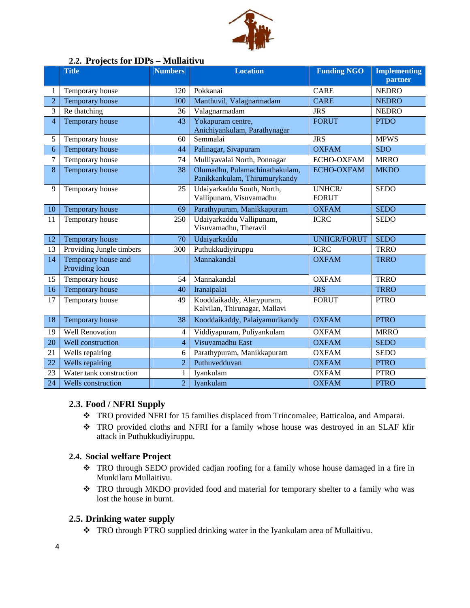

#### **2.2. Projects for IDPs – Mullaitivu**

|                | <b>Title</b>                          | <b>Numbers</b> | <b>Location</b>                                                 | <b>Funding NGO</b>     | <b>Implementing</b> |
|----------------|---------------------------------------|----------------|-----------------------------------------------------------------|------------------------|---------------------|
|                |                                       |                |                                                                 |                        | partner             |
| 1              | Temporary house                       | 120            | Pokkanai                                                        | <b>CARE</b>            | <b>NEDRO</b>        |
| $\overline{2}$ | Temporary house                       | 100            | Manthuvil, Valagnarmadam                                        | <b>CARE</b>            | <b>NEDRO</b>        |
| 3              | Re thatching                          | 36             | Valagnarmadam                                                   | <b>JRS</b>             | <b>NEDRO</b>        |
| $\overline{4}$ | Temporary house                       | 43             | Yokapuram centre,<br>Anichiyankulam, Parathynagar               | <b>FORUT</b>           | <b>PTDO</b>         |
| 5              | Temporary house                       | 60             | Semmalai                                                        | <b>JRS</b>             | <b>MPWS</b>         |
| 6              | Temporary house                       | 44             | Palinagar, Sivapuram                                            | <b>OXFAM</b>           | <b>SDO</b>          |
| $\overline{7}$ | Temporary house                       | 74             | Mulliyavalai North, Ponnagar                                    | ECHO-OXFAM             | <b>MRRO</b>         |
| $\bf 8$        | Temporary house                       | 38             | Olumadhu, Pulamachinathakulam,<br>Panikkankulam, Thirumurykandy | <b>ECHO-OXFAM</b>      | <b>MKDO</b>         |
| 9              | Temporary house                       | 25             | Udaiyarkaddu South, North,<br>Vallipunam, Visuvamadhu           | UNHCR/<br><b>FORUT</b> | <b>SEDO</b>         |
| 10             | Temporary house                       | 69             | Parathypuram, Manikkapuram                                      | <b>OXFAM</b>           | <b>SEDO</b>         |
| 11             | Temporary house                       | 250            | Udaiyarkaddu Vallipunam,<br>Visuvamadhu, Theravil               | <b>ICRC</b>            | <b>SEDO</b>         |
| 12             | Temporary house                       | 70             | Udaiyarkaddu                                                    | <b>UNHCR/FORUT</b>     | <b>SEDO</b>         |
| 13             | Providing Jungle timbers              | 300            | Puthukkudiyiruppu                                               | <b>ICRC</b>            | <b>TRRO</b>         |
| 14             | Temporary house and<br>Providing loan |                | Mannakandal                                                     | <b>OXFAM</b>           | <b>TRRO</b>         |
| 15             | Temporary house                       | 54             | Mannakandal                                                     | <b>OXFAM</b>           | <b>TRRO</b>         |
| 16             | Temporary house                       | 40             | Iranaipalai                                                     | <b>JRS</b>             | <b>TRRO</b>         |
| 17             | Temporary house                       | 49             | Kooddaikaddy, Alarypuram,<br>Kalvilan, Thirunagar, Mallavi      | <b>FORUT</b>           | <b>PTRO</b>         |
| 18             | Temporary house                       | 38             | Kooddaikaddy, Palaiyamurikandy                                  | <b>OXFAM</b>           | <b>PTRO</b>         |
| 19             | <b>Well Renovation</b>                | $\overline{4}$ | Viddiyapuram, Puliyankulam                                      | <b>OXFAM</b>           | <b>MRRO</b>         |
| 20             | Well construction                     | $\overline{4}$ | Visuvamadhu East                                                | <b>OXFAM</b>           | <b>SEDO</b>         |
| 21             | Wells repairing                       | 6              | Parathypuram, Manikkapuram                                      | <b>OXFAM</b>           | <b>SEDO</b>         |
| 22             | Wells repairing                       | $\overline{2}$ | Puthuvedduvan                                                   | <b>OXFAM</b>           | <b>PTRO</b>         |
| 23             | Water tank construction               | $\mathbf{1}$   | Iyankulam                                                       | <b>OXFAM</b>           | <b>PTRO</b>         |
| 24             | <b>Wells</b> construction             | $\overline{2}$ | Iyankulam                                                       | <b>OXFAM</b>           | <b>PTRO</b>         |

#### **2.3. Food / NFRI Supply**

- TRO provided NFRI for 15 families displaced from Trincomalee, Batticaloa, and Amparai.
- TRO provided cloths and NFRI for a family whose house was destroyed in an SLAF kfir attack in Puthukkudiyiruppu.

#### **2.4. Social welfare Project**

- TRO through SEDO provided cadjan roofing for a family whose house damaged in a fire in Munkilaru Mullaitivu.
- TRO through MKDO provided food and material for temporary shelter to a family who was lost the house in burnt.

#### **2.5. Drinking water supply**

TRO through PTRO supplied drinking water in the Iyankulam area of Mullaitivu.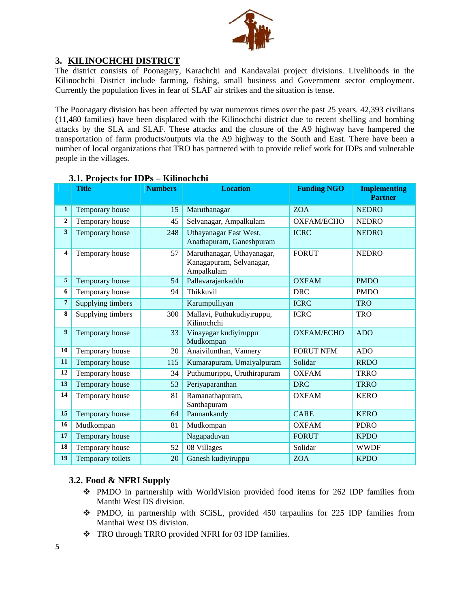

# **3. KILINOCHCHI DISTRICT**

The district consists of Poonagary, Karachchi and Kandavalai project divisions. Livelihoods in the Kilinochchi District include farming, fishing, small business and Government sector employment. Currently the population lives in fear of SLAF air strikes and the situation is tense.

The Poonagary division has been affected by war numerous times over the past 25 years. 42,393 civilians (11,480 families) have been displaced with the Kilinochchi district due to recent shelling and bombing attacks by the SLA and SLAF. These attacks and the closure of the A9 highway have hampered the transportation of farm products/outputs via the A9 highway to the South and East. There have been a number of local organizations that TRO has partnered with to provide relief work for IDPs and vulnerable people in the villages.

|                         | <b>Title</b>      | <b>Numbers</b> | <b>Location</b>                                        | <b>Funding NGO</b> | <b>Implementing</b> |
|-------------------------|-------------------|----------------|--------------------------------------------------------|--------------------|---------------------|
|                         |                   |                |                                                        |                    | <b>Partner</b>      |
| 1                       | Temporary house   | 15             | Maruthanagar                                           | <b>ZOA</b>         | <b>NEDRO</b>        |
| $\overline{2}$          | Temporary house   | 45             | Selvanagar, Ampalkulam                                 | <b>OXFAM/ECHO</b>  | <b>NEDRO</b>        |
| 3                       | Temporary house   | 248            | Uthayanagar East West,                                 | <b>ICRC</b>        | <b>NEDRO</b>        |
|                         |                   |                | Anathapuram, Ganeshpuram                               |                    |                     |
| $\overline{\mathbf{4}}$ | Temporary house   | 57             | Maruthanagar, Uthayanagar,<br>Kanagapuram, Selvanagar, | <b>FORUT</b>       | <b>NEDRO</b>        |
|                         |                   |                | Ampalkulam                                             |                    |                     |
| 5                       | Temporary house   | 54             | Pallavarajankaddu                                      | <b>OXFAM</b>       | <b>PMDO</b>         |
| 6                       | Temporary house   | 94             | Thikkuvil                                              | <b>DRC</b>         | <b>PMDO</b>         |
| $\overline{7}$          | Supplying timbers |                | Karumpulliyan                                          | <b>ICRC</b>        | <b>TRO</b>          |
| 8                       | Supplying timbers | 300            | Mallavi, Puthukudiyiruppu,<br>Kilinochchi              | <b>ICRC</b>        | <b>TRO</b>          |
| 9                       | Temporary house   | 33             | Vinayagar kudiyiruppu<br>Mudkompan                     | <b>OXFAM/ECHO</b>  | <b>ADO</b>          |
| 10                      | Temporary house   | 20             | Anaivilunthan, Vannery                                 | <b>FORUT NFM</b>   | <b>ADO</b>          |
| 11                      | Temporary house   | 115            | Kumarapuram, Umaiyalpuram                              | Solidar            | <b>RRDO</b>         |
| 12                      | Temporary house   | 34             | Puthumurippu, Uruthirapuram                            | <b>OXFAM</b>       | <b>TRRO</b>         |
| 13                      | Temporary house   | 53             | Periyaparanthan                                        | <b>DRC</b>         | <b>TRRO</b>         |
| 14                      | Temporary house   | 81             | Ramanathapuram,<br>Santhapuram                         | <b>OXFAM</b>       | <b>KERO</b>         |
| 15                      | Temporary house   | 64             | Pannankandy                                            | <b>CARE</b>        | <b>KERO</b>         |
| 16                      | Mudkompan         | 81             | Mudkompan                                              | <b>OXFAM</b>       | <b>PDRO</b>         |
| 17                      | Temporary house   |                | Nagapaduvan                                            | <b>FORUT</b>       | <b>KPDO</b>         |
| 18                      | Temporary house   | 52             | 08 Villages                                            | Solidar            | <b>WWDF</b>         |
| 19                      | Temporary toilets | 20             | Ganesh kudiyiruppu                                     | <b>ZOA</b>         | <b>KPDO</b>         |

#### **3.1. Projects for IDPs – Kilinochchi**

# **3.2. Food & NFRI Supply**

- PMDO in partnership with WorldVision provided food items for 262 IDP families from Manthi West DS division.
- PMDO, in partnership with SCiSL, provided 450 tarpaulins for 225 IDP families from Manthai West DS division.
- TRO through TRRO provided NFRI for 03 IDP families.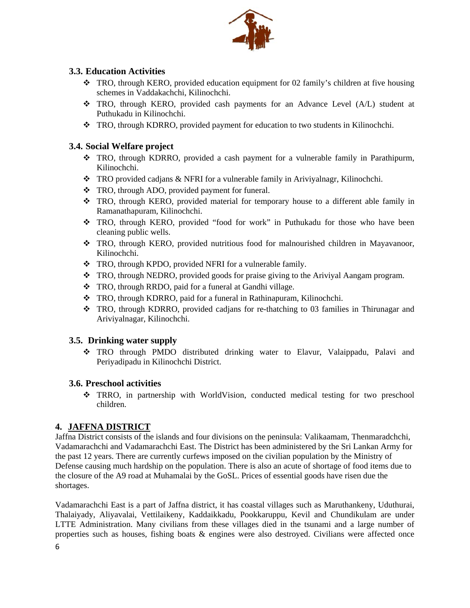

# **3.3. Education Activities**

- $\div$  TRO, through KERO, provided education equipment for 02 family's children at five housing schemes in Vaddakachchi, Kilinochchi.
- TRO, through KERO, provided cash payments for an Advance Level (A/L) student at Puthukadu in Kilinochchi.
- TRO, through KDRRO, provided payment for education to two students in Kilinochchi.

# **3.4. Social Welfare project**

- TRO, through KDRRO, provided a cash payment for a vulnerable family in Parathipurm, Kilinochchi.
- TRO provided cadjans & NFRI for a vulnerable family in Ariviyalnagr, Kilinochchi.
- \* TRO, through ADO, provided payment for funeral.
- TRO, through KERO, provided material for temporary house to a different able family in Ramanathapuram, Kilinochchi.
- \* TRO, through KERO, provided "food for work" in Puthukadu for those who have been cleaning public wells.
- \* TRO, through KERO, provided nutritious food for malnourished children in Mayavanoor, Kilinochchi.
- \* TRO, through KPDO, provided NFRI for a vulnerable family.
- TRO, through NEDRO, provided goods for praise giving to the Ariviyal Aangam program.
- \* TRO, through RRDO, paid for a funeral at Gandhi village.
- TRO, through KDRRO, paid for a funeral in Rathinapuram, Kilinochchi.
- TRO, through KDRRO, provided cadjans for re-thatching to 03 families in Thirunagar and Ariviyalnagar, Kilinochchi.

# **3.5. Drinking water supply**

 TRO through PMDO distributed drinking water to Elavur, Valaippadu, Palavi and Periyadipadu in Kilinochchi District.

# **3.6. Preschool activities**

 TRRO, in partnership with WorldVision, conducted medical testing for two preschool children.

# **4. JAFFNA DISTRICT**

Jaffna District consists of the islands and four divisions on the peninsula: Valikaamam, Thenmaradchchi, Vadamarachchi and Vadamarachchi East. The District has been administered by the Sri Lankan Army for the past 12 years. There are currently curfews imposed on the civilian population by the Ministry of Defense causing much hardship on the population. There is also an acute of shortage of food items due to the closure of the A9 road at Muhamalai by the GoSL. Prices of essential goods have risen due the shortages.

Vadamarachchi East is a part of Jaffna district, it has coastal villages such as Maruthankeny, Uduthurai, Thalaiyady, Aliyavalai, Vettilaikeny, Kaddaikkadu, Pookkaruppu, Kevil and Chundikulam are under LTTE Administration. Many civilians from these villages died in the tsunami and a large number of properties such as houses, fishing boats & engines were also destroyed. Civilians were affected once 6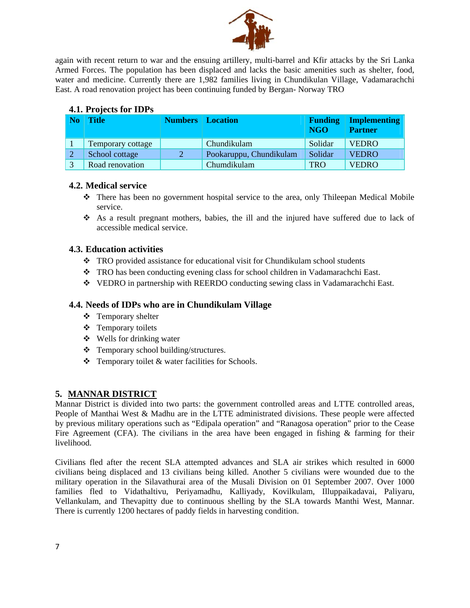

again with recent return to war and the ensuing artillery, multi-barrel and Kfir attacks by the Sri Lanka Armed Forces. The population has been displaced and lacks the basic amenities such as shelter, food, water and medicine. Currently there are 1,982 families living in Chundikulan Village, Vadamarachchi East. A road renovation project has been continuing funded by Bergan- Norway TRO

|              | <br><b>Title</b>  | <b>Numbers</b>   <b>Location</b> |                         | <b>Funding</b><br>NGO | <b>Implementing</b><br><b>Partner</b> |
|--------------|-------------------|----------------------------------|-------------------------|-----------------------|---------------------------------------|
|              | Temporary cottage |                                  | Chundikulam             | Solidar               | <b>VEDRO</b>                          |
|              | School cottage    |                                  | Pookaruppu, Chundikulam | Solidar               | <b>VEDRO</b>                          |
| $\mathbf{z}$ | Road renovation   |                                  | Chumdikulam             | <b>TRO</b>            | <b>VEDRO</b>                          |

# **4.1. Projects for IDPs**

#### **4.2. Medical service**

- There has been no government hospital service to the area, only Thileepan Medical Mobile service.
- As a result pregnant mothers, babies, the ill and the injured have suffered due to lack of accessible medical service.

#### **4.3. Education activities**

- TRO provided assistance for educational visit for Chundikulam school students
- TRO has been conducting evening class for school children in Vadamarachchi East.
- VEDRO in partnership with REERDO conducting sewing class in Vadamarachchi East.

#### **4.4. Needs of IDPs who are in Chundikulam Village**

- Temporary shelter
- $\div$  Temporary toilets
- $\triangleleft$  Wells for drinking water
- \* Temporary school building/structures.
- Temporary toilet & water facilities for Schools.

# **5. MANNAR DISTRICT**

Mannar District is divided into two parts: the government controlled areas and LTTE controlled areas, People of Manthai West & Madhu are in the LTTE administrated divisions. These people were affected by previous military operations such as "Edipala operation" and "Ranagosa operation" prior to the Cease Fire Agreement (CFA). The civilians in the area have been engaged in fishing & farming for their livelihood.

Civilians fled after the recent SLA attempted advances and SLA air strikes which resulted in 6000 civilians being displaced and 13 civilians being killed. Another 5 civilians were wounded due to the military operation in the Silavathurai area of the Musali Division on 01 September 2007. Over 1000 families fled to Vidathaltivu, Periyamadhu, Kalliyady, Kovilkulam, Illuppaikadavai, Paliyaru, Vellankulam, and Thevapitty due to continuous shelling by the SLA towards Manthi West, Mannar. There is currently 1200 hectares of paddy fields in harvesting condition.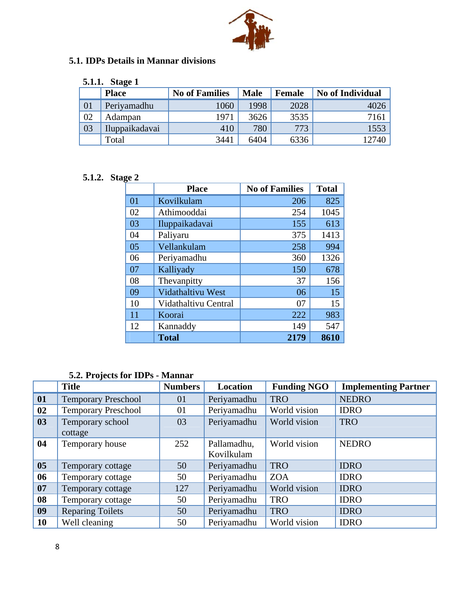

# **5.1. IDPs Details in Mannar divisions**

|    | <b>Place</b>   | <b>No of Families</b> | <b>Male</b> | <b>Female</b> | No of Individual |  |  |  |
|----|----------------|-----------------------|-------------|---------------|------------------|--|--|--|
| 01 | Periyamadhu    | 1060                  | 1998        | 2028          | 4026             |  |  |  |
| 02 | Adampan        | 1971                  | 3626        | 3535          | 7161             |  |  |  |
| 03 | Iluppaikadavai | 410                   | 780         | 773           | 1553             |  |  |  |
|    | Total          | 3441                  | 6404        | 6336          | 12740            |  |  |  |

# **5.1.2. Stage 2**

|    | <b>Place</b>         | <b>No of Families</b> | <b>Total</b> |
|----|----------------------|-----------------------|--------------|
| 01 | Kovilkulam           | 206                   | 825          |
| 02 | Athimooddai          | 254                   | 1045         |
| 03 | Iluppaikadavai       | 155                   | 613          |
| 04 | Paliyaru             | 375                   | 1413         |
| 05 | Vellankulam          | 258                   | 994          |
| 06 | Periyamadhu          | 360                   | 1326         |
| 07 | Kalliyady            | 150                   | 678          |
| 08 | Thevanpitty          | 37                    | 156          |
| 09 | Vidathaltivu West    | 06                    | 15           |
| 10 | Vidathaltivu Central | 07                    | 15           |
| 11 | Koorai               | 222                   | 983          |
| 12 | Kannaddy             | 149                   | 547          |
|    | <b>Total</b>         | 2179                  | 8610         |

# **5.2. Projects for IDPs - Mannar**

|                | <b>Title</b>               | <b>Numbers</b> | Location    | <b>Funding NGO</b> | <b>Implementing Partner</b> |
|----------------|----------------------------|----------------|-------------|--------------------|-----------------------------|
| 01             | <b>Temporary Preschool</b> | 01             | Periyamadhu | <b>TRO</b>         | <b>NEDRO</b>                |
| 02             | <b>Temporary Preschool</b> | 01             | Periyamadhu | World vision       | <b>IDRO</b>                 |
| 03             | Temporary school           | 03             | Periyamadhu | World vision       | <b>TRO</b>                  |
|                | cottage                    |                |             |                    |                             |
| 04             | Temporary house            | 252            | Pallamadhu, | World vision       | <b>NEDRO</b>                |
|                |                            |                | Kovilkulam  |                    |                             |
| 0 <sub>5</sub> | Temporary cottage          | 50             | Periyamadhu | <b>TRO</b>         | <b>IDRO</b>                 |
| 06             | Temporary cottage          | 50             | Periyamadhu | <b>ZOA</b>         | <b>IDRO</b>                 |
| 07             | Temporary cottage          | 127            | Periyamadhu | World vision       | <b>IDRO</b>                 |
| 08             | Temporary cottage          | 50             | Periyamadhu | <b>TRO</b>         | <b>IDRO</b>                 |
| 09             | <b>Reparing Toilets</b>    | 50             | Periyamadhu | <b>TRO</b>         | <b>IDRO</b>                 |
| 10             | Well cleaning              | 50             | Periyamadhu | World vision       | <b>IDRO</b>                 |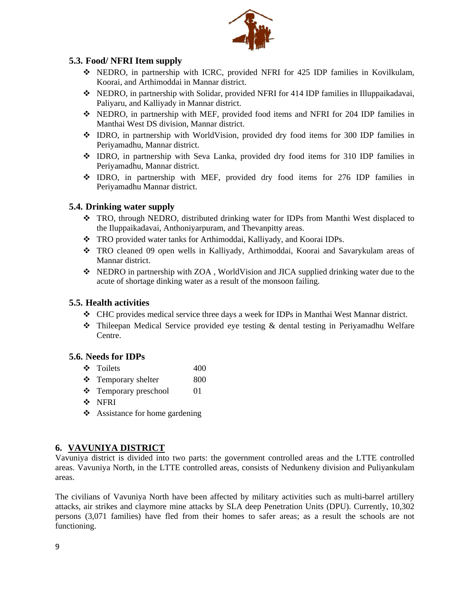

#### **5.3. Food/ NFRI Item supply**

- NEDRO, in partnership with ICRC, provided NFRI for 425 IDP families in Kovilkulam, Koorai, and Arthimoddai in Mannar district.
- NEDRO, in partnership with Solidar, provided NFRI for 414 IDP families in Illuppaikadavai, Paliyaru, and Kalliyady in Mannar district.
- NEDRO, in partnership with MEF, provided food items and NFRI for 204 IDP families in Manthai West DS division, Mannar district.
- IDRO, in partnership with WorldVision, provided dry food items for 300 IDP families in Periyamadhu, Mannar district.
- IDRO, in partnership with Seva Lanka, provided dry food items for 310 IDP families in Periyamadhu, Mannar district.
- IDRO, in partnership with MEF, provided dry food items for 276 IDP families in Periyamadhu Mannar district.

#### **5.4. Drinking water supply**

- TRO, through NEDRO, distributed drinking water for IDPs from Manthi West displaced to the Iluppaikadavai, Anthoniyarpuram, and Thevanpitty areas.
- TRO provided water tanks for Arthimoddai, Kalliyady, and Koorai IDPs.
- TRO cleaned 09 open wells in Kalliyady, Arthimoddai, Koorai and Savarykulam areas of Mannar district.
- NEDRO in partnership with ZOA , WorldVision and JICA supplied drinking water due to the acute of shortage dinking water as a result of the monsoon failing.

#### **5.5. Health activities**

- CHC provides medical service three days a week for IDPs in Manthai West Mannar district.
- $\hat{\mathbf{v}}$  Thileepan Medical Service provided eye testing & dental testing in Periyamadhu Welfare Centre.

#### **5.6. Needs for IDPs**

- $\div$  Toilets 400
- $\div$  Temporary shelter 800
- $\div$  Temporary preschool 01
- ❖ NFRI
- Assistance for home gardening

#### **6. VAVUNIYA DISTRICT**

Vavuniya district is divided into two parts: the government controlled areas and the LTTE controlled areas. Vavuniya North, in the LTTE controlled areas, consists of Nedunkeny division and Puliyankulam areas.

The civilians of Vavuniya North have been affected by military activities such as multi-barrel artillery attacks, air strikes and claymore mine attacks by SLA deep Penetration Units (DPU). Currently, 10,302 persons (3,071 families) have fled from their homes to safer areas; as a result the schools are not functioning.